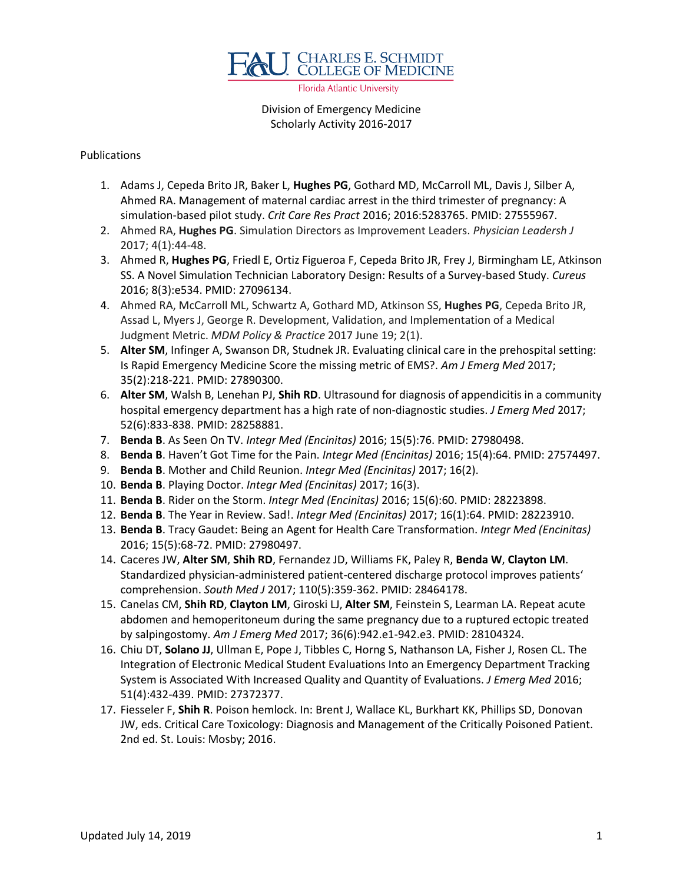

Florida Atlantic University

## Division of Emergency Medicine Scholarly Activity 2016-2017

## Publications

- 1. Adams J, Cepeda Brito JR, Baker L, **Hughes PG**, Gothard MD, McCarroll ML, Davis J, Silber A, Ahmed RA. Management of maternal cardiac arrest in the third trimester of pregnancy: A simulation-based pilot study. *Crit Care Res Pract* 2016; 2016:5283765. PMID: 27555967.
- 2. Ahmed RA, **Hughes PG**. Simulation Directors as Improvement Leaders. *Physician Leadersh J* 2017; 4(1):44-48.
- 3. Ahmed R, **Hughes PG**, Friedl E, Ortiz Figueroa F, Cepeda Brito JR, Frey J, Birmingham LE, Atkinson SS. A Novel Simulation Technician Laboratory Design: Results of a Survey-based Study. *Cureus* 2016; 8(3):e534. PMID: 27096134.
- 4. Ahmed RA, McCarroll ML, Schwartz A, Gothard MD, Atkinson SS, **Hughes PG**, Cepeda Brito JR, Assad L, Myers J, George R. Development, Validation, and Implementation of a Medical Judgment Metric. *MDM Policy & Practice* 2017 June 19; 2(1).
- 5. **Alter SM**, Infinger A, Swanson DR, Studnek JR. Evaluating clinical care in the prehospital setting: Is Rapid Emergency Medicine Score the missing metric of EMS?. *Am J Emerg Med* 2017; 35(2):218-221. PMID: 27890300.
- 6. **Alter SM**, Walsh B, Lenehan PJ, **Shih RD**. Ultrasound for diagnosis of appendicitis in a community hospital emergency department has a high rate of non-diagnostic studies. *J Emerg Med* 2017; 52(6):833-838. PMID: 28258881.
- 7. **Benda B**. As Seen On TV. *Integr Med (Encinitas)* 2016; 15(5):76. PMID: 27980498.
- 8. **Benda B**. Haven't Got Time for the Pain. *Integr Med (Encinitas)* 2016; 15(4):64. PMID: 27574497.
- 9. **Benda B**. Mother and Child Reunion. *Integr Med (Encinitas)* 2017; 16(2).
- 10. **Benda B**. Playing Doctor. *Integr Med (Encinitas)* 2017; 16(3).
- 11. **Benda B**. Rider on the Storm. *Integr Med (Encinitas)* 2016; 15(6):60. PMID: 28223898.
- 12. **Benda B**. The Year in Review. Sad!. *Integr Med (Encinitas)* 2017; 16(1):64. PMID: 28223910.
- 13. **Benda B**. Tracy Gaudet: Being an Agent for Health Care Transformation. *Integr Med (Encinitas)*  2016; 15(5):68-72. PMID: 27980497.
- 14. Caceres JW, **Alter SM**, **Shih RD**, Fernandez JD, Williams FK, Paley R, **Benda W**, **Clayton LM**. Standardized physician-administered patient-centered discharge protocol improves patients' comprehension. *South Med J* 2017; 110(5):359-362. PMID: 28464178.
- 15. Canelas CM, **Shih RD**, **Clayton LM**, Giroski LJ, **Alter SM**, Feinstein S, Learman LA. Repeat acute abdomen and hemoperitoneum during the same pregnancy due to a ruptured ectopic treated by salpingostomy. *Am J Emerg Med* 2017; 36(6):942.e1-942.e3. PMID: 28104324.
- 16. Chiu DT, **Solano JJ**, Ullman E, Pope J, Tibbles C, Horng S, Nathanson LA, Fisher J, Rosen CL. The Integration of Electronic Medical Student Evaluations Into an Emergency Department Tracking System is Associated With Increased Quality and Quantity of Evaluations. *J Emerg Med* 2016; 51(4):432-439. PMID: 27372377.
- 17. Fiesseler F, **Shih R**. Poison hemlock. In: Brent J, Wallace KL, Burkhart KK, Phillips SD, Donovan JW, eds. Critical Care Toxicology: Diagnosis and Management of the Critically Poisoned Patient. 2nd ed. St. Louis: Mosby; 2016.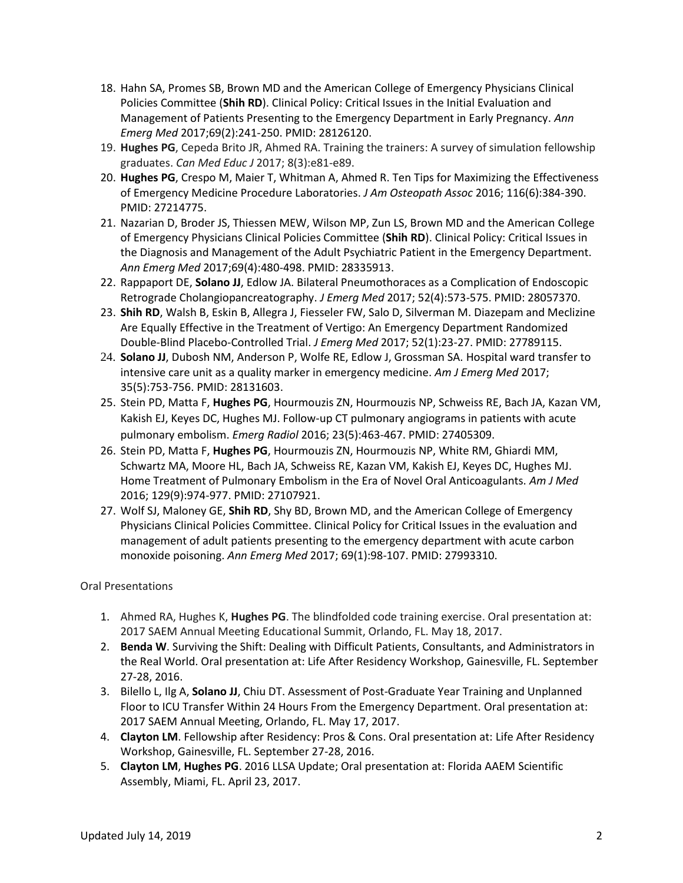- 18. Hahn SA, Promes SB, Brown MD and the American College of Emergency Physicians Clinical Policies Committee (**Shih RD**). Clinical Policy: Critical Issues in the Initial Evaluation and Management of Patients Presenting to the Emergency Department in Early Pregnancy. *Ann Emerg Med* 2017;69(2):241-250. PMID: 28126120.
- 19. **Hughes PG**, Cepeda Brito JR, Ahmed RA. Training the trainers: A survey of simulation fellowship graduates. *Can Med Educ J* 2017; 8(3):e81-e89.
- 20. **Hughes PG**, Crespo M, Maier T, Whitman A, Ahmed R. Ten Tips for Maximizing the Effectiveness of Emergency Medicine Procedure Laboratories. *J Am Osteopath Assoc* 2016; 116(6):384-390. PMID: 27214775.
- 21. Nazarian D, Broder JS, Thiessen MEW, Wilson MP, Zun LS, Brown MD and the American College of Emergency Physicians Clinical Policies Committee (**Shih RD**). Clinical Policy: Critical Issues in the Diagnosis and Management of the Adult Psychiatric Patient in the Emergency Department. *Ann Emerg Med* 2017;69(4):480-498. PMID: 28335913.
- 22. Rappaport DE, **Solano JJ**, Edlow JA. Bilateral Pneumothoraces as a Complication of Endoscopic Retrograde Cholangiopancreatography. *J Emerg Med* 2017; 52(4):573-575. PMID: 28057370.
- 23. **Shih RD**, Walsh B, Eskin B, Allegra J, Fiesseler FW, Salo D, Silverman M. Diazepam and Meclizine Are Equally Effective in the Treatment of Vertigo: An Emergency Department Randomized Double-Blind Placebo-Controlled Trial. *J Emerg Med* 2017; 52(1):23-27. PMID: 27789115.
- 24. **Solano JJ**, Dubosh NM, Anderson P, Wolfe RE, Edlow J, Grossman SA. Hospital ward transfer to intensive care unit as a quality marker in emergency medicine. *Am J Emerg Med* 2017; 35(5):753-756. PMID: 28131603.
- 25. Stein PD, Matta F, **Hughes PG**, Hourmouzis ZN, Hourmouzis NP, Schweiss RE, Bach JA, Kazan VM, Kakish EJ, Keyes DC, Hughes MJ. Follow-up CT pulmonary angiograms in patients with acute pulmonary embolism. *Emerg Radiol* 2016; 23(5):463-467. PMID: 27405309.
- 26. Stein PD, Matta F, **Hughes PG**, Hourmouzis ZN, Hourmouzis NP, White RM, Ghiardi MM, Schwartz MA, Moore HL, Bach JA, Schweiss RE, Kazan VM, Kakish EJ, Keyes DC, Hughes MJ. Home Treatment of Pulmonary Embolism in the Era of Novel Oral Anticoagulants. *Am J Med* 2016; 129(9):974-977. PMID: 27107921.
- 27. Wolf SJ, Maloney GE, **Shih RD**, Shy BD, Brown MD, and the American College of Emergency Physicians Clinical Policies Committee. Clinical Policy for Critical Issues in the evaluation and management of adult patients presenting to the emergency department with acute carbon monoxide poisoning. *Ann Emerg Med* 2017; 69(1):98-107. PMID: 27993310.

Oral Presentations

- 1. Ahmed RA, Hughes K, **Hughes PG**. The blindfolded code training exercise. Oral presentation at: 2017 SAEM Annual Meeting Educational Summit, Orlando, FL. May 18, 2017.
- 2. **Benda W**. Surviving the Shift: Dealing with Difficult Patients, Consultants, and Administrators in the Real World. Oral presentation at: Life After Residency Workshop, Gainesville, FL. September 27-28, 2016.
- 3. Bilello L, Ilg A, **Solano JJ**, Chiu DT. Assessment of Post-Graduate Year Training and Unplanned Floor to ICU Transfer Within 24 Hours From the Emergency Department. Oral presentation at: 2017 SAEM Annual Meeting, Orlando, FL. May 17, 2017.
- 4. **Clayton LM**. Fellowship after Residency: Pros & Cons. Oral presentation at: Life After Residency Workshop, Gainesville, FL. September 27-28, 2016.
- 5. **Clayton LM**, **Hughes PG**. 2016 LLSA Update; Oral presentation at: Florida AAEM Scientific Assembly, Miami, FL. April 23, 2017.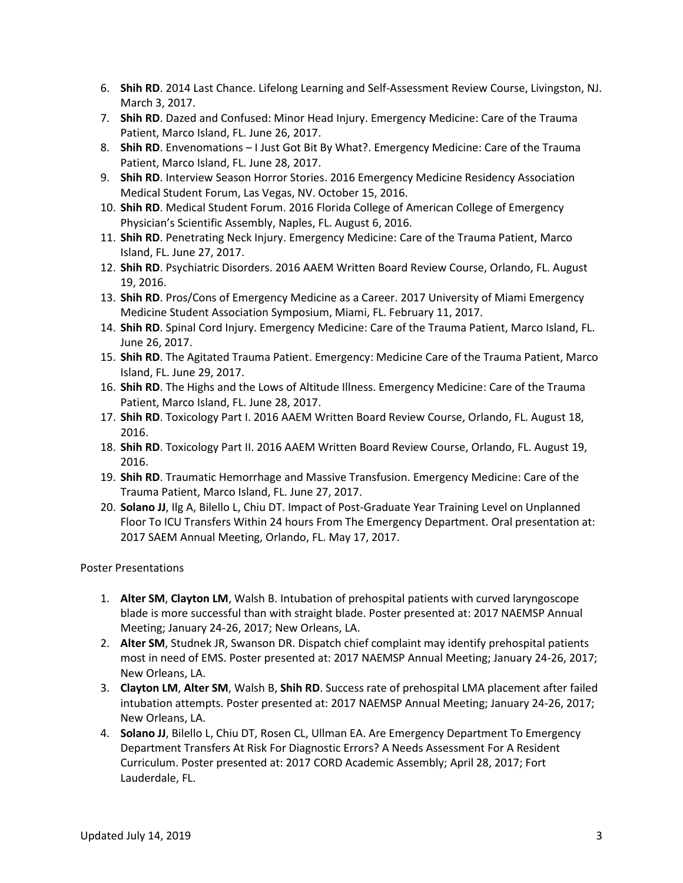- 6. **Shih RD**. 2014 Last Chance. Lifelong Learning and Self-Assessment Review Course, Livingston, NJ. March 3, 2017.
- 7. **Shih RD**. Dazed and Confused: Minor Head Injury. Emergency Medicine: Care of the Trauma Patient, Marco Island, FL. June 26, 2017.
- 8. **Shih RD**. Envenomations I Just Got Bit By What?. Emergency Medicine: Care of the Trauma Patient, Marco Island, FL. June 28, 2017.
- 9. **Shih RD**. Interview Season Horror Stories. 2016 Emergency Medicine Residency Association Medical Student Forum, Las Vegas, NV. October 15, 2016.
- 10. **Shih RD**. Medical Student Forum. 2016 Florida College of American College of Emergency Physician's Scientific Assembly, Naples, FL. August 6, 2016.
- 11. **Shih RD**. Penetrating Neck Injury. Emergency Medicine: Care of the Trauma Patient, Marco Island, FL. June 27, 2017.
- 12. **Shih RD**. Psychiatric Disorders. 2016 AAEM Written Board Review Course, Orlando, FL. August 19, 2016.
- 13. **Shih RD**. Pros/Cons of Emergency Medicine as a Career. 2017 University of Miami Emergency Medicine Student Association Symposium, Miami, FL. February 11, 2017.
- 14. **Shih RD**. Spinal Cord Injury. Emergency Medicine: Care of the Trauma Patient, Marco Island, FL. June 26, 2017.
- 15. **Shih RD**. The Agitated Trauma Patient. Emergency: Medicine Care of the Trauma Patient, Marco Island, FL. June 29, 2017.
- 16. **Shih RD**. The Highs and the Lows of Altitude Illness. Emergency Medicine: Care of the Trauma Patient, Marco Island, FL. June 28, 2017.
- 17. **Shih RD**. Toxicology Part I. 2016 AAEM Written Board Review Course, Orlando, FL. August 18, 2016.
- 18. **Shih RD**. Toxicology Part II. 2016 AAEM Written Board Review Course, Orlando, FL. August 19, 2016.
- 19. **Shih RD**. Traumatic Hemorrhage and Massive Transfusion. Emergency Medicine: Care of the Trauma Patient, Marco Island, FL. June 27, 2017.
- 20. **Solano JJ**, Ilg A, Bilello L, Chiu DT. Impact of Post-Graduate Year Training Level on Unplanned Floor To ICU Transfers Within 24 hours From The Emergency Department. Oral presentation at: 2017 SAEM Annual Meeting, Orlando, FL. May 17, 2017.

Poster Presentations

- 1. **Alter SM**, **Clayton LM**, Walsh B. Intubation of prehospital patients with curved laryngoscope blade is more successful than with straight blade. Poster presented at: 2017 NAEMSP Annual Meeting; January 24-26, 2017; New Orleans, LA.
- 2. **Alter SM**, Studnek JR, Swanson DR. Dispatch chief complaint may identify prehospital patients most in need of EMS. Poster presented at: 2017 NAEMSP Annual Meeting; January 24-26, 2017; New Orleans, LA.
- 3. **Clayton LM**, **Alter SM**, Walsh B, **Shih RD**. Success rate of prehospital LMA placement after failed intubation attempts. Poster presented at: 2017 NAEMSP Annual Meeting; January 24-26, 2017; New Orleans, LA.
- 4. **Solano JJ**, Bilello L, Chiu DT, Rosen CL, Ullman EA. Are Emergency Department To Emergency Department Transfers At Risk For Diagnostic Errors? A Needs Assessment For A Resident Curriculum. Poster presented at: 2017 CORD Academic Assembly; April 28, 2017; Fort Lauderdale, FL.